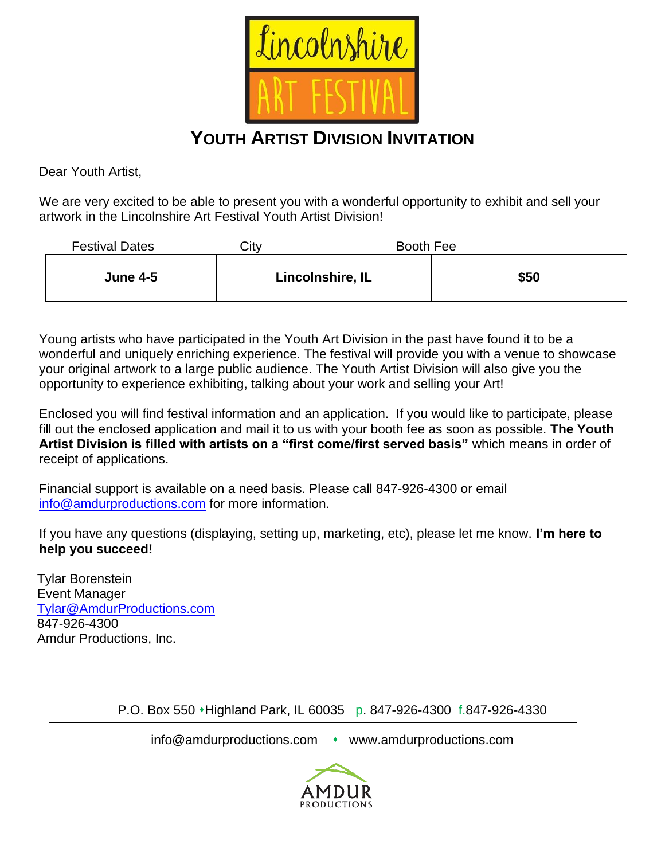

## **YOUTH ARTIST DIVISION INVITATION**

Dear Youth Artist,

We are very excited to be able to present you with a wonderful opportunity to exhibit and sell your artwork in the Lincolnshire Art Festival Youth Artist Division!

| <b>Festival Dates</b> | City | Booth Fee        |      |
|-----------------------|------|------------------|------|
| <b>June 4-5</b>       |      | Lincolnshire, IL | \$50 |

Young artists who have participated in the Youth Art Division in the past have found it to be a wonderful and uniquely enriching experience. The festival will provide you with a venue to showcase your original artwork to a large public audience. The Youth Artist Division will also give you the opportunity to experience exhibiting, talking about your work and selling your Art!

Enclosed you will find festival information and an application. If you would like to participate, please fill out the enclosed application and mail it to us with your booth fee as soon as possible. **The Youth Artist Division is filled with artists on a "first come/first served basis"** which means in order of receipt of applications.

Financial support is available on a need basis. Please call 847-926-4300 or email [info@amdurproductions.com](mailto:info@amdurproductions.com) for more information.

If you have any questions (displaying, setting up, marketing, etc), please let me know. **I'm here to help you succeed!**

Tylar Borenstein Event Manager [Tylar@AmdurProductions.com](mailto:Tylar@AmdurProductions.com) 847-926-4300 Amdur Productions, Inc.

P.O. Box 550 ⬧Highland Park, IL 60035 p. 847-926-4300 f.847-926-4330

info@amdurproductions.com • www.amdurproductions.com

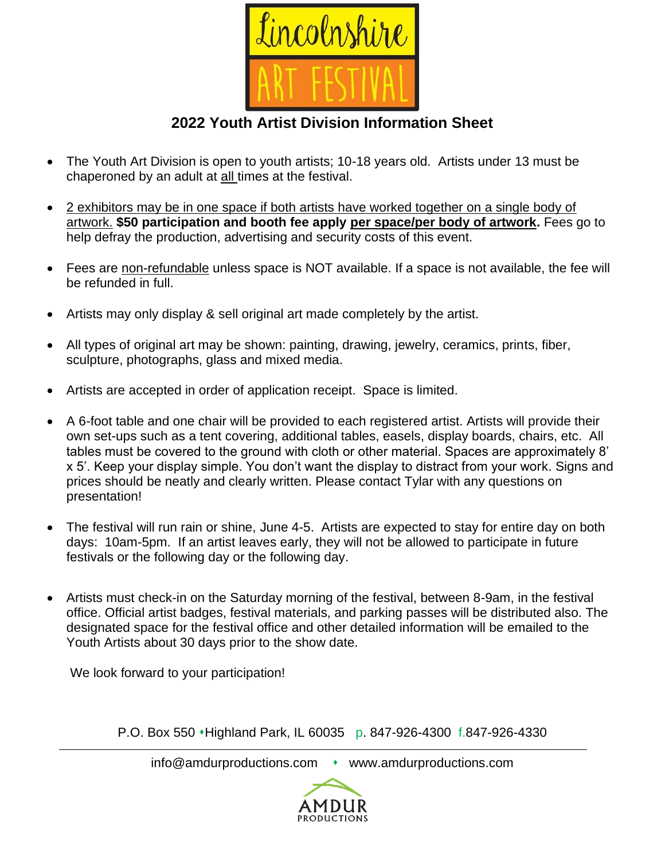

**2022 Youth Artist Division Information Sheet**

- The Youth Art Division is open to youth artists; 10-18 years old. Artists under 13 must be chaperoned by an adult at all times at the festival.
- 2 exhibitors may be in one space if both artists have worked together on a single body of artwork. **\$50 participation and booth fee apply per space/per body of artwork.** Fees go to help defray the production, advertising and security costs of this event.
- Fees are non-refundable unless space is NOT available. If a space is not available, the fee will be refunded in full.
- Artists may only display & sell original art made completely by the artist.
- All types of original art may be shown: painting, drawing, jewelry, ceramics, prints, fiber, sculpture, photographs, glass and mixed media.
- Artists are accepted in order of application receipt. Space is limited.
- A 6-foot table and one chair will be provided to each registered artist. Artists will provide their own set-ups such as a tent covering, additional tables, easels, display boards, chairs, etc. All tables must be covered to the ground with cloth or other material. Spaces are approximately 8' x 5'. Keep your display simple. You don't want the display to distract from your work. Signs and prices should be neatly and clearly written. Please contact Tylar with any questions on presentation!
- The festival will run rain or shine, June 4-5. Artists are expected to stay for entire day on both days: 10am-5pm. If an artist leaves early, they will not be allowed to participate in future festivals or the following day or the following day.
- Artists must check-in on the Saturday morning of the festival, between 8-9am, in the festival office. Official artist badges, festival materials, and parking passes will be distributed also. The designated space for the festival office and other detailed information will be emailed to the Youth Artists about 30 days prior to the show date.

We look forward to your participation!

P.O. Box 550 • Highland Park, IL 60035 p. 847-926-4300 f.847-926-4330

info@amdurproductions.com • www.amdurproductions.com